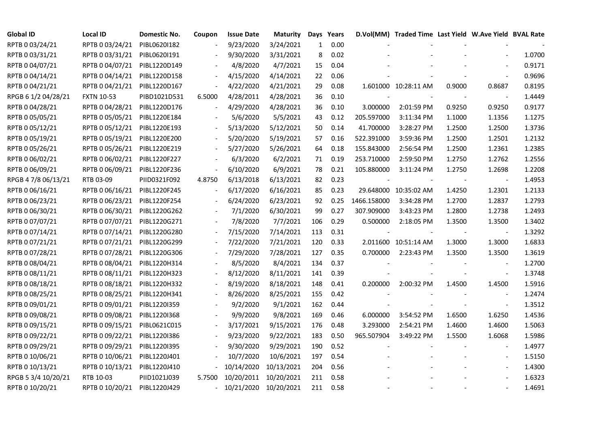| <b>Global ID</b>    | <b>Local ID</b>   | Domestic No. | Coupon                   | <b>Issue Date</b>          | <b>Maturity</b> |              | Days Years |             | D.Vol(MM) Traded Time Last Yield W.Ave Yield BVAL Rate |        |                          |        |
|---------------------|-------------------|--------------|--------------------------|----------------------------|-----------------|--------------|------------|-------------|--------------------------------------------------------|--------|--------------------------|--------|
| RPTB 0 03/24/21     | RPTB 0 03/24/21   | PIBL0620I182 |                          | 9/23/2020                  | 3/24/2021       | $\mathbf{1}$ | 0.00       |             |                                                        |        |                          |        |
| RPTB 0 03/31/21     | RPTB 0 03/31/21   | PIBL0620I191 |                          | 9/30/2020                  | 3/31/2021       | 8            | 0.02       |             |                                                        |        |                          | 1.0700 |
| RPTB 0 04/07/21     | RPTB 0 04/07/21   | PIBL1220D149 |                          | 4/8/2020                   | 4/7/2021        | 15           | 0.04       |             |                                                        |        |                          | 0.9171 |
| RPTB 0 04/14/21     | RPTB 0 04/14/21   | PIBL1220D158 |                          | 4/15/2020                  | 4/14/2021       | 22           | 0.06       |             |                                                        |        |                          | 0.9696 |
| RPTB 0 04/21/21     | RPTB 0 04/21/21   | PIBL1220D167 | $\overline{\phantom{a}}$ | 4/22/2020                  | 4/21/2021       | 29           | 0.08       |             | 1.601000 10:28:11 AM                                   | 0.9000 | 0.8687                   | 0.8195 |
| RPGB 6 1/2 04/28/21 | <b>FXTN 10-53</b> | PIBD1021D531 | 6.5000                   | 4/28/2011                  | 4/28/2021       | 36           | 0.10       |             |                                                        |        |                          | 1.4449 |
| RPTB 0 04/28/21     | RPTB 0 04/28/21   | PIBL1220D176 |                          | 4/29/2020                  | 4/28/2021       | 36           | 0.10       | 3.000000    | 2:01:59 PM                                             | 0.9250 | 0.9250                   | 0.9177 |
| RPTB 0 05/05/21     | RPTB 0 05/05/21   | PIBL1220E184 |                          | 5/6/2020                   | 5/5/2021        | 43           | 0.12       | 205.597000  | 3:11:34 PM                                             | 1.1000 | 1.1356                   | 1.1275 |
| RPTB 0 05/12/21     | RPTB 0 05/12/21   | PIBL1220E193 |                          | 5/13/2020                  | 5/12/2021       | 50           | 0.14       | 41.700000   | 3:28:27 PM                                             | 1.2500 | 1.2500                   | 1.3736 |
| RPTB 0 05/19/21     | RPTB 0 05/19/21   | PIBL1220E200 |                          | 5/20/2020                  | 5/19/2021       | 57           | 0.16       | 522.391000  | 3:59:36 PM                                             | 1.2500 | 1.2501                   | 1.2132 |
| RPTB 0 05/26/21     | RPTB 0 05/26/21   | PIBL1220E219 |                          | 5/27/2020                  | 5/26/2021       | 64           | 0.18       | 155.843000  | 2:56:54 PM                                             | 1.2500 | 1.2361                   | 1.2385 |
| RPTB 0 06/02/21     | RPTB 0 06/02/21   | PIBL1220F227 |                          | 6/3/2020                   | 6/2/2021        | 71           | 0.19       | 253.710000  | 2:59:50 PM                                             | 1.2750 | 1.2762                   | 1.2556 |
| RPTB 0 06/09/21     | RPTB 0 06/09/21   | PIBL1220F236 |                          | 6/10/2020                  | 6/9/2021        | 78           | 0.21       | 105.880000  | 3:11:24 PM                                             | 1.2750 | 1.2698                   | 1.2208 |
| RPGB 4 7/8 06/13/21 | RTB 03-09         | PIID0321F092 | 4.8750                   | 6/13/2018                  | 6/13/2021       | 82           | 0.23       |             |                                                        |        | $\overline{\phantom{a}}$ | 1.4953 |
| RPTB 0 06/16/21     | RPTB 0 06/16/21   | PIBL1220F245 |                          | 6/17/2020                  | 6/16/2021       | 85           | 0.23       |             | 29.648000 10:35:02 AM                                  | 1.4250 | 1.2301                   | 1.2133 |
| RPTB 0 06/23/21     | RPTB 0 06/23/21   | PIBL1220F254 |                          | 6/24/2020                  | 6/23/2021       | 92           | 0.25       | 1466.158000 | 3:34:28 PM                                             | 1.2700 | 1.2837                   | 1.2793 |
| RPTB 0 06/30/21     | RPTB 0 06/30/21   | PIBL1220G262 |                          | 7/1/2020                   | 6/30/2021       | 99           | 0.27       | 307.909000  | 3:43:23 PM                                             | 1.2800 | 1.2738                   | 1.2493 |
| RPTB 0 07/07/21     | RPTB 0 07/07/21   | PIBL1220G271 |                          | 7/8/2020                   | 7/7/2021        | 106          | 0.29       | 0.500000    | 2:18:05 PM                                             | 1.3500 | 1.3500                   | 1.3402 |
| RPTB 0 07/14/21     | RPTB 0 07/14/21   | PIBL1220G280 |                          | 7/15/2020                  | 7/14/2021       | 113          | 0.31       |             |                                                        |        |                          | 1.3292 |
| RPTB 0 07/21/21     | RPTB 0 07/21/21   | PIBL1220G299 |                          | 7/22/2020                  | 7/21/2021       | 120          | 0.33       |             | 2.011600 10:51:14 AM                                   | 1.3000 | 1.3000                   | 1.6833 |
| RPTB 0 07/28/21     | RPTB 0 07/28/21   | PIBL1220G306 |                          | 7/29/2020                  | 7/28/2021       | 127          | 0.35       | 0.700000    | 2:23:43 PM                                             | 1.3500 | 1.3500                   | 1.3619 |
| RPTB 0 08/04/21     | RPTB 0 08/04/21   | PIBL1220H314 |                          | 8/5/2020                   | 8/4/2021        | 134          | 0.37       |             |                                                        |        |                          | 1.2700 |
| RPTB 0 08/11/21     | RPTB 0 08/11/21   | PIBL1220H323 |                          | 8/12/2020                  | 8/11/2021       | 141          | 0.39       |             |                                                        |        |                          | 1.3748 |
| RPTB 0 08/18/21     | RPTB 0 08/18/21   | PIBL1220H332 |                          | 8/19/2020                  | 8/18/2021       | 148          | 0.41       | 0.200000    | 2:00:32 PM                                             | 1.4500 | 1.4500                   | 1.5916 |
| RPTB 0 08/25/21     | RPTB 0 08/25/21   | PIBL1220H341 |                          | 8/26/2020                  | 8/25/2021       | 155          | 0.42       |             |                                                        |        | $\sim$                   | 1.2474 |
| RPTB 0 09/01/21     | RPTB 0 09/01/21   | PIBL1220I359 |                          | 9/2/2020                   | 9/1/2021        | 162          | 0.44       |             |                                                        |        | $\overline{\phantom{a}}$ | 1.3512 |
| RPTB 0 09/08/21     | RPTB 0 09/08/21   | PIBL1220I368 |                          | 9/9/2020                   | 9/8/2021        | 169          | 0.46       | 6.000000    | 3:54:52 PM                                             | 1.6500 | 1.6250                   | 1.4536 |
| RPTB 0 09/15/21     | RPTB 0 09/15/21   | PIBL0621C015 |                          | 3/17/2021                  | 9/15/2021       | 176          | 0.48       | 3.293000    | 2:54:21 PM                                             | 1.4600 | 1.4600                   | 1.5063 |
| RPTB 0 09/22/21     | RPTB 0 09/22/21   | PIBL1220I386 |                          | 9/23/2020                  | 9/22/2021       | 183          | 0.50       | 965.507904  | 3:49:22 PM                                             | 1.5500 | 1.6068                   | 1.5986 |
| RPTB 0 09/29/21     | RPTB 0 09/29/21   | PIBL1220I395 |                          | 9/30/2020                  | 9/29/2021       | 190          | 0.52       |             |                                                        |        |                          | 1.4977 |
| RPTB 0 10/06/21     | RPTB 0 10/06/21   | PIBL1220J401 |                          | 10/7/2020                  | 10/6/2021       | 197          | 0.54       |             |                                                        |        | $\overline{\phantom{a}}$ | 1.5150 |
| RPTB 0 10/13/21     | RPTB 0 10/13/21   | PIBL1220J410 |                          | 10/14/2020                 | 10/13/2021      | 204          | 0.56       |             |                                                        |        | $\overline{\phantom{a}}$ | 1.4300 |
| RPGB 5 3/4 10/20/21 | RTB 10-03         | PIID1021J039 | 5.7500                   | 10/20/2011                 | 10/20/2021      | 211          | 0.58       |             |                                                        |        |                          | 1.6323 |
| RPTB 0 10/20/21     | RPTB 0 10/20/21   | PIBL1220J429 |                          | $-10/21/2020$ $10/20/2021$ |                 | 211          | 0.58       |             |                                                        |        |                          | 1.4691 |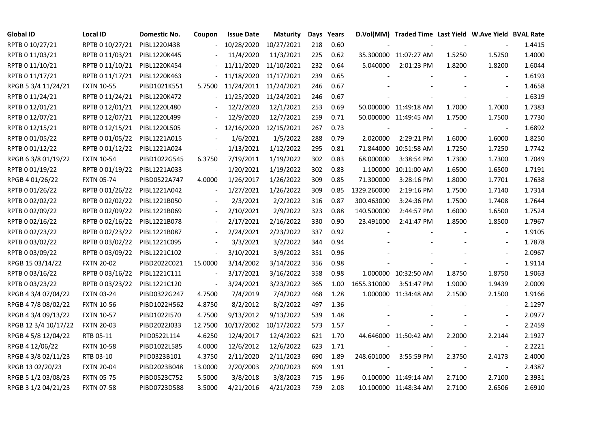| <b>Global ID</b>     | <b>Local ID</b>   | Domestic No. | Coupon                   | <b>Issue Date</b> | <b>Maturity</b> |     | Days Years |             | D.Vol(MM) Traded Time Last Yield W.Ave Yield BVAL Rate |                          |                          |        |
|----------------------|-------------------|--------------|--------------------------|-------------------|-----------------|-----|------------|-------------|--------------------------------------------------------|--------------------------|--------------------------|--------|
| RPTB 0 10/27/21      | RPTB 0 10/27/21   | PIBL1220J438 |                          | 10/28/2020        | 10/27/2021      | 218 | 0.60       |             |                                                        |                          |                          | 1.4415 |
| RPTB 0 11/03/21      | RPTB 0 11/03/21   | PIBL1220K445 |                          | 11/4/2020         | 11/3/2021       | 225 | 0.62       |             | 35.300000 11:07:27 AM                                  | 1.5250                   | 1.5250                   | 1.4000 |
| RPTB 0 11/10/21      | RPTB 0 11/10/21   | PIBL1220K454 |                          | 11/11/2020        | 11/10/2021      | 232 | 0.64       | 5.040000    | 2:01:23 PM                                             | 1.8200                   | 1.8200                   | 1.6044 |
| RPTB 0 11/17/21      | RPTB 0 11/17/21   | PIBL1220K463 |                          | 11/18/2020        | 11/17/2021      | 239 | 0.65       |             |                                                        |                          | $\overline{\phantom{a}}$ | 1.6193 |
| RPGB 5 3/4 11/24/21  | <b>FXTN 10-55</b> | PIBD1021K551 | 5.7500                   | 11/24/2011        | 11/24/2021      | 246 | 0.67       |             |                                                        |                          | $\overline{\phantom{a}}$ | 1.4658 |
| RPTB 0 11/24/21      | RPTB 0 11/24/21   | PIBL1220K472 |                          | 11/25/2020        | 11/24/2021      | 246 | 0.67       |             |                                                        |                          | $\blacksquare$           | 1.6319 |
| RPTB 0 12/01/21      | RPTB 0 12/01/21   | PIBL1220L480 |                          | 12/2/2020         | 12/1/2021       | 253 | 0.69       |             | 50.000000 11:49:18 AM                                  | 1.7000                   | 1.7000                   | 1.7383 |
| RPTB 0 12/07/21      | RPTB 0 12/07/21   | PIBL1220L499 |                          | 12/9/2020         | 12/7/2021       | 259 | 0.71       |             | 50.000000 11:49:45 AM                                  | 1.7500                   | 1.7500                   | 1.7730 |
| RPTB 0 12/15/21      | RPTB 0 12/15/21   | PIBL1220L505 |                          | 12/16/2020        | 12/15/2021      | 267 | 0.73       |             |                                                        |                          | $\overline{\phantom{a}}$ | 1.6892 |
| RPTB 0 01/05/22      | RPTB 0 01/05/22   | PIBL1221A015 |                          | 1/6/2021          | 1/5/2022        | 288 | 0.79       | 2.020000    | 2:29:21 PM                                             | 1.6000                   | 1.6000                   | 1.8250 |
| RPTB 0 01/12/22      | RPTB 0 01/12/22   | PIBL1221A024 | $\blacksquare$           | 1/13/2021         | 1/12/2022       | 295 | 0.81       |             | 71.844000 10:51:58 AM                                  | 1.7250                   | 1.7250                   | 1.7742 |
| RPGB 63/8 01/19/22   | <b>FXTN 10-54</b> | PIBD1022G545 | 6.3750                   | 7/19/2011         | 1/19/2022       | 302 | 0.83       | 68.000000   | 3:38:54 PM                                             | 1.7300                   | 1.7300                   | 1.7049 |
| RPTB 0 01/19/22      | RPTB 0 01/19/22   | PIBL1221A033 |                          | 1/20/2021         | 1/19/2022       | 302 | 0.83       |             | 1.100000 10:11:00 AM                                   | 1.6500                   | 1.6500                   | 1.7191 |
| RPGB 4 01/26/22      | <b>FXTN 05-74</b> | PIBD0522A747 | 4.0000                   | 1/26/2017         | 1/26/2022       | 309 | 0.85       | 71.300000   | 3:28:16 PM                                             | 1.8000                   | 1.7701                   | 1.7638 |
| RPTB 0 01/26/22      | RPTB 0 01/26/22   | PIBL1221A042 | $\frac{1}{2}$            | 1/27/2021         | 1/26/2022       | 309 | 0.85       | 1329.260000 | 2:19:16 PM                                             | 1.7500                   | 1.7140                   | 1.7314 |
| RPTB 0 02/02/22      | RPTB 0 02/02/22   | PIBL1221B050 |                          | 2/3/2021          | 2/2/2022        | 316 | 0.87       | 300.463000  | 3:24:36 PM                                             | 1.7500                   | 1.7408                   | 1.7644 |
| RPTB 0 02/09/22      | RPTB 0 02/09/22   | PIBL1221B069 |                          | 2/10/2021         | 2/9/2022        | 323 | 0.88       | 140.500000  | 2:44:57 PM                                             | 1.6000                   | 1.6500                   | 1.7524 |
| RPTB 0 02/16/22      | RPTB 0 02/16/22   | PIBL1221B078 | $\overline{\phantom{a}}$ | 2/17/2021         | 2/16/2022       | 330 | 0.90       | 23.491000   | 2:41:47 PM                                             | 1.8500                   | 1.8500                   | 1.7967 |
| RPTB 0 02/23/22      | RPTB 0 02/23/22   | PIBL1221B087 |                          | 2/24/2021         | 2/23/2022       | 337 | 0.92       |             |                                                        |                          | $\overline{\phantom{a}}$ | 1.9105 |
| RPTB 0 03/02/22      | RPTB 0 03/02/22   | PIBL1221C095 |                          | 3/3/2021          | 3/2/2022        | 344 | 0.94       |             |                                                        |                          | $\blacksquare$           | 1.7878 |
| RPTB 0 03/09/22      | RPTB 0 03/09/22   | PIBL1221C102 | $\blacksquare$           | 3/10/2021         | 3/9/2022        | 351 | 0.96       |             |                                                        |                          | $\sim$                   | 2.0967 |
| RPGB 15 03/14/22     | <b>FXTN 20-02</b> | PIBD2022C021 | 15.0000                  | 3/14/2002         | 3/14/2022       | 356 | 0.98       |             |                                                        |                          | $\blacksquare$           | 1.9114 |
| RPTB 0 03/16/22      | RPTB 0 03/16/22   | PIBL1221C111 |                          | 3/17/2021         | 3/16/2022       | 358 | 0.98       |             | 1.000000 10:32:50 AM                                   | 1.8750                   | 1.8750                   | 1.9063 |
| RPTB 0 03/23/22      | RPTB 0 03/23/22   | PIBL1221C120 | $\overline{\phantom{a}}$ | 3/24/2021         | 3/23/2022       | 365 | 1.00       | 1655.310000 | 3:51:47 PM                                             | 1.9000                   | 1.9439                   | 2.0009 |
| RPGB 4 3/4 07/04/22  | <b>FXTN 03-24</b> | PIBD0322G247 | 4.7500                   | 7/4/2019          | 7/4/2022        | 468 | 1.28       |             | 1.000000 11:34:48 AM                                   | 2.1500                   | 2.1500                   | 1.9166 |
| RPGB 4 7/8 08/02/22  | <b>FXTN 10-56</b> | PIBD1022H562 | 4.8750                   | 8/2/2012          | 8/2/2022        | 497 | 1.36       |             |                                                        |                          | $\blacksquare$           | 2.1297 |
| RPGB 4 3/4 09/13/22  | <b>FXTN 10-57</b> | PIBD1022I570 | 4.7500                   | 9/13/2012         | 9/13/2022       | 539 | 1.48       |             |                                                        |                          | $\sim$                   | 2.0977 |
| RPGB 12 3/4 10/17/22 | <b>FXTN 20-03</b> | PIBD2022J033 | 12.7500                  | 10/17/2002        | 10/17/2022      | 573 | 1.57       |             |                                                        |                          | $\blacksquare$           | 2.2459 |
| RPGB 4 5/8 12/04/22  | RTB 05-11         | PIID0522L114 | 4.6250                   | 12/4/2017         | 12/4/2022       | 621 | 1.70       |             | 44.646000 11:50:42 AM                                  | 2.2000                   | 2.2144                   | 2.1927 |
| RPGB 4 12/06/22      | <b>FXTN 10-58</b> | PIBD1022L585 | 4.0000                   | 12/6/2012         | 12/6/2022       | 623 | 1.71       |             |                                                        |                          | $\overline{\phantom{a}}$ | 2.2221 |
| RPGB 4 3/8 02/11/23  | RTB 03-10         | PIID0323B101 | 4.3750                   | 2/11/2020         | 2/11/2023       | 690 | 1.89       | 248.601000  | 3:55:59 PM                                             | 2.3750                   | 2.4173                   | 2.4000 |
| RPGB 13 02/20/23     | <b>FXTN 20-04</b> | PIBD2023B048 | 13.0000                  | 2/20/2003         | 2/20/2023       | 699 | 1.91       |             |                                                        | $\overline{\phantom{a}}$ | $\overline{\phantom{a}}$ | 2.4387 |
| RPGB 5 1/2 03/08/23  | <b>FXTN 05-75</b> | PIBD0523C752 | 5.5000                   | 3/8/2018          | 3/8/2023        | 715 | 1.96       |             | 0.100000 11:49:14 AM                                   | 2.7100                   | 2.7100                   | 2.3931 |
| RPGB 3 1/2 04/21/23  | <b>FXTN 07-58</b> | PIBD0723D588 | 3.5000                   | 4/21/2016         | 4/21/2023       | 759 | 2.08       |             | 10.100000 11:48:34 AM                                  | 2.7100                   | 2.6506                   | 2.6910 |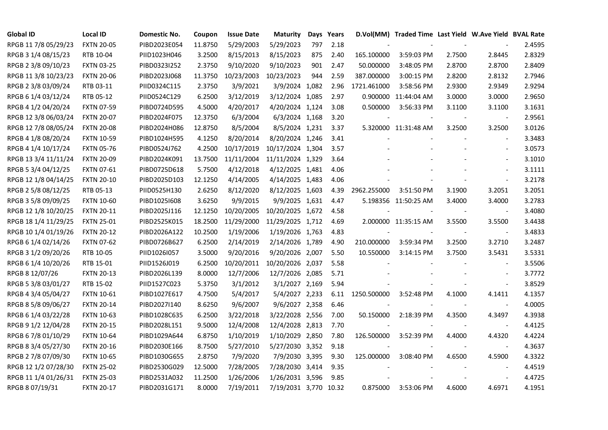| <b>Global ID</b>     | <b>Local ID</b>   | Domestic No. | Coupon  | <b>Issue Date</b> | Maturity              |     | Days Years |             | D.Vol(MM) Traded Time Last Yield W.Ave Yield BVAL Rate |        |                          |        |
|----------------------|-------------------|--------------|---------|-------------------|-----------------------|-----|------------|-------------|--------------------------------------------------------|--------|--------------------------|--------|
| RPGB 11 7/8 05/29/23 | <b>FXTN 20-05</b> | PIBD2023E054 | 11.8750 | 5/29/2003         | 5/29/2023             | 797 | 2.18       |             |                                                        |        |                          | 2.4595 |
| RPGB 3 1/4 08/15/23  | RTB 10-04         | PIID1023H046 | 3.2500  | 8/15/2013         | 8/15/2023             | 875 | 2.40       | 165.100000  | 3:59:03 PM                                             | 2.7500 | 2.8445                   | 2.8329 |
| RPGB 2 3/8 09/10/23  | <b>FXTN 03-25</b> | PIBD0323I252 | 2.3750  | 9/10/2020         | 9/10/2023             | 901 | 2.47       | 50.000000   | 3:48:05 PM                                             | 2.8700 | 2.8700                   | 2.8409 |
| RPGB 11 3/8 10/23/23 | <b>FXTN 20-06</b> | PIBD2023J068 | 11.3750 | 10/23/2003        | 10/23/2023            | 944 | 2.59       | 387.000000  | 3:00:15 PM                                             | 2.8200 | 2.8132                   | 2.7946 |
| RPGB 2 3/8 03/09/24  | RTB 03-11         | PIID0324C115 | 2.3750  | 3/9/2021          | 3/9/2024 1,082        |     | 2.96       | 1721.461000 | 3:58:56 PM                                             | 2.9300 | 2.9349                   | 2.9294 |
| RPGB 6 1/4 03/12/24  | RTB 05-12         | PIID0524C129 | 6.2500  | 3/12/2019         | 3/12/2024 1,085       |     | 2.97       | 0.900000    | 11:44:04 AM                                            | 3.0000 | 3.0000                   | 2.9650 |
| RPGB 4 1/2 04/20/24  | <b>FXTN 07-59</b> | PIBD0724D595 | 4.5000  | 4/20/2017         | 4/20/2024 1,124       |     | 3.08       | 0.500000    | 3:56:33 PM                                             | 3.1100 | 3.1100                   | 3.1631 |
| RPGB 12 3/8 06/03/24 | <b>FXTN 20-07</b> | PIBD2024F075 | 12.3750 | 6/3/2004          | 6/3/2024 1,168        |     | 3.20       |             |                                                        |        | $\blacksquare$           | 2.9561 |
| RPGB 12 7/8 08/05/24 | <b>FXTN 20-08</b> | PIBD2024H086 | 12.8750 | 8/5/2004          | 8/5/2024 1,231        |     | 3.37       |             | 5.320000 11:31:48 AM                                   | 3.2500 | 3.2500                   | 3.0126 |
| RPGB 4 1/8 08/20/24  | <b>FXTN 10-59</b> | PIBD1024H595 | 4.1250  | 8/20/2014         | 8/20/2024 1,246       |     | 3.41       |             |                                                        |        | $\blacksquare$           | 3.3483 |
| RPGB 4 1/4 10/17/24  | <b>FXTN 05-76</b> | PIBD0524J762 | 4.2500  | 10/17/2019        | 10/17/2024 1,304      |     | 3.57       |             |                                                        |        | $\blacksquare$           | 3.0573 |
| RPGB 13 3/4 11/11/24 | <b>FXTN 20-09</b> | PIBD2024K091 | 13.7500 | 11/11/2004        | 11/11/2024 1,329      |     | 3.64       |             |                                                        |        | $\blacksquare$           | 3.1010 |
| RPGB 5 3/4 04/12/25  | <b>FXTN 07-61</b> | PIBD0725D618 | 5.7500  | 4/12/2018         | 4/12/2025 1,481       |     | 4.06       |             |                                                        |        | $\overline{a}$           | 3.1111 |
| RPGB 12 1/8 04/14/25 | <b>FXTN 20-10</b> | PIBD2025D103 | 12.1250 | 4/14/2005         | 4/14/2025 1,483       |     | 4.06       |             |                                                        |        | $\blacksquare$           | 3.2178 |
| RPGB 2 5/8 08/12/25  | RTB 05-13         | PIID0525H130 | 2.6250  | 8/12/2020         | 8/12/2025 1,603       |     | 4.39       | 2962.255000 | 3:51:50 PM                                             | 3.1900 | 3.2051                   | 3.2051 |
| RPGB 3 5/8 09/09/25  | <b>FXTN 10-60</b> | PIBD10251608 | 3.6250  | 9/9/2015          | 9/9/2025 1,631        |     | 4.47       |             | 5.198356 11:50:25 AM                                   | 3.4000 | 3.4000                   | 3.2783 |
| RPGB 12 1/8 10/20/25 | <b>FXTN 20-11</b> | PIBD2025J116 | 12.1250 | 10/20/2005        | 10/20/2025 1,672      |     | 4.58       |             |                                                        |        | $\overline{\phantom{a}}$ | 3.4080 |
| RPGB 18 1/4 11/29/25 | <b>FXTN 25-01</b> | PIBD2525K015 | 18.2500 | 11/29/2000        | 11/29/2025 1,712      |     | 4.69       |             | 2.000000 11:35:15 AM                                   | 3.5500 | 3.5500                   | 3.4438 |
| RPGB 10 1/4 01/19/26 | <b>FXTN 20-12</b> | PIBD2026A122 | 10.2500 | 1/19/2006         | 1/19/2026 1,763       |     | 4.83       |             |                                                        |        | $\blacksquare$           | 3.4833 |
| RPGB 6 1/4 02/14/26  | <b>FXTN 07-62</b> | PIBD0726B627 | 6.2500  | 2/14/2019         | 2/14/2026 1,789       |     | 4.90       | 210.000000  | 3:59:34 PM                                             | 3.2500 | 3.2710                   | 3.2487 |
| RPGB 3 1/2 09/20/26  | RTB 10-05         | PIID1026I057 | 3.5000  | 9/20/2016         | 9/20/2026 2,007       |     | 5.50       | 10.550000   | 3:14:15 PM                                             | 3.7500 | 3.5431                   | 3.5331 |
| RPGB 6 1/4 10/20/26  | RTB 15-01         | PIID1526J019 | 6.2500  | 10/20/2011        | 10/20/2026 2,037      |     | 5.58       |             |                                                        |        | $\blacksquare$           | 3.5506 |
| RPGB 8 12/07/26      | <b>FXTN 20-13</b> | PIBD2026L139 | 8.0000  | 12/7/2006         | 12/7/2026 2,085       |     | 5.71       |             |                                                        |        | $\overline{a}$           | 3.7772 |
| RPGB 5 3/8 03/01/27  | RTB 15-02         | PIID1527C023 | 5.3750  | 3/1/2012          | 3/1/2027 2,169        |     | 5.94       |             |                                                        |        | $\blacksquare$           | 3.8529 |
| RPGB 4 3/4 05/04/27  | <b>FXTN 10-61</b> | PIBD1027E617 | 4.7500  | 5/4/2017          | 5/4/2027 2,233        |     | 6.11       | 1250.500000 | 3:52:48 PM                                             | 4.1000 | 4.1411                   | 4.1357 |
| RPGB 8 5/8 09/06/27  | <b>FXTN 20-14</b> | PIBD2027I140 | 8.6250  | 9/6/2007          | 9/6/2027 2,358        |     | 6.46       |             |                                                        |        | $\blacksquare$           | 4.0005 |
| RPGB 6 1/4 03/22/28  | <b>FXTN 10-63</b> | PIBD1028C635 | 6.2500  | 3/22/2018         | 3/22/2028 2,556       |     | 7.00       | 50.150000   | 2:18:39 PM                                             | 4.3500 | 4.3497                   | 4.3938 |
| RPGB 9 1/2 12/04/28  | <b>FXTN 20-15</b> | PIBD2028L151 | 9.5000  | 12/4/2008         | 12/4/2028 2,813       |     | 7.70       |             |                                                        |        | $\blacksquare$           | 4.4125 |
| RPGB 67/8 01/10/29   | <b>FXTN 10-64</b> | PIBD1029A644 | 6.8750  | 1/10/2019         | 1/10/2029 2,850       |     | 7.80       | 126.500000  | 3:52:39 PM                                             | 4.4000 | 4.4320                   | 4.4224 |
| RPGB 8 3/4 05/27/30  | <b>FXTN 20-16</b> | PIBD2030E166 | 8.7500  | 5/27/2010         | 5/27/2030 3,352       |     | 9.18       |             |                                                        |        |                          | 4.3637 |
| RPGB 2 7/8 07/09/30  | <b>FXTN 10-65</b> | PIBD1030G655 | 2.8750  | 7/9/2020          | 7/9/2030 3,395        |     | 9.30       | 125.000000  | 3:08:40 PM                                             | 4.6500 | 4.5900                   | 4.3322 |
| RPGB 12 1/2 07/28/30 | <b>FXTN 25-02</b> | PIBD2530G029 | 12.5000 | 7/28/2005         | 7/28/2030 3,414       |     | 9.35       |             |                                                        |        | $\overline{\phantom{a}}$ | 4.4519 |
| RPGB 11 1/4 01/26/31 | <b>FXTN 25-03</b> | PIBD2531A032 | 11.2500 | 1/26/2006         | 1/26/2031 3,596       |     | 9.85       |             |                                                        |        | $\overline{a}$           | 4.4725 |
| RPGB 8 07/19/31      | <b>FXTN 20-17</b> | PIBD2031G171 | 8.0000  | 7/19/2011         | 7/19/2031 3,770 10.32 |     |            | 0.875000    | 3:53:06 PM                                             | 4.6000 | 4.6971                   | 4.1951 |